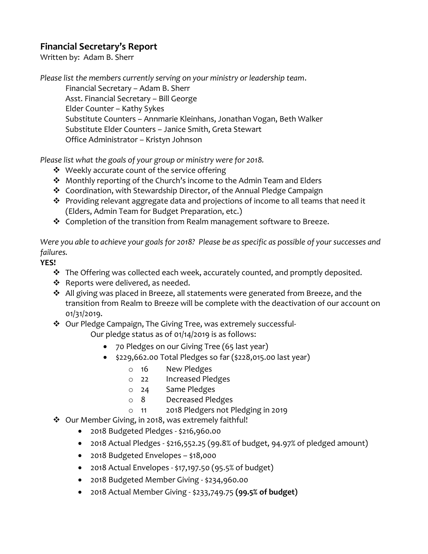## **Financial Secretary's Report**

Written by: Adam B. Sherr

*Please list the members currently serving on your ministry or leadership team*. Financial Secretary – Adam B. Sherr Asst. Financial Secretary – Bill George Elder Counter – Kathy Sykes Substitute Counters – Annmarie Kleinhans, Jonathan Vogan, Beth Walker Substitute Elder Counters – Janice Smith, Greta Stewart Office Administrator – Kristyn Johnson

*Please list what the goals of your group or ministry were for 2018.*

- ❖ Weekly accurate count of the service offering
- ❖ Monthly reporting of the Church's income to the Admin Team and Elders
- ❖ Coordination, with Stewardship Director, of the Annual Pledge Campaign
- ❖ Providing relevant aggregate data and projections of income to all teams that need it (Elders, Admin Team for Budget Preparation, etc.)
- ❖ Completion of the transition from Realm management software to Breeze.

*Were you able to achieve your goals for 2018? Please be as specific as possible of your successes and failures.*

**YES!** 

- ❖ The Offering was collected each week, accurately counted, and promptly deposited.
- ❖ Reports were delivered, as needed.
- ❖ All giving was placed in Breeze, all statements were generated from Breeze, and the transition from Realm to Breeze will be complete with the deactivation of our account on 01/31/2019.
- ❖ Our Pledge Campaign, The Giving Tree, was extremely successful-

Our pledge status as of 01/14/2019 is as follows:

- 70 Pledges on our Giving Tree (65 last year)
- \$229,662.00 Total Pledges so far (\$228,015.00 last year)
	- o 16 New Pledges
	- o 22 Increased Pledges
		- Same Pledges
	- o 8 Decreased Pledges
	- o 11 2018 Pledgers not Pledging in 2019
- ❖ Our Member Giving, in 2018, was extremely faithful!
	- 2018 Budgeted Pledges \$216,960.00
	- 2018 Actual Pledges \$216,552.25 (99.8% of budget, 94.97% of pledged amount)
	- 2018 Budgeted Envelopes \$18,000
	- 2018 Actual Envelopes \$17,197.50 (95.5% of budget)
	- 2018 Budgeted Member Giving \$234,960.00
	- 2018 Actual Member Giving \$233,749.75 **(99.5% of budget)**